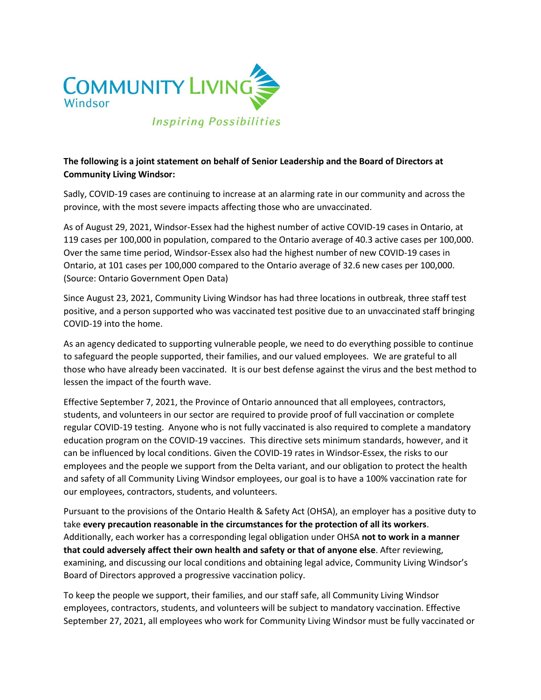

## **The following is a joint statement on behalf of Senior Leadership and the Board of Directors at Community Living Windsor:**

Sadly, COVID-19 cases are continuing to increase at an alarming rate in our community and across the province, with the most severe impacts affecting those who are unvaccinated.

As of August 29, 2021, Windsor-Essex had the highest number of active COVID-19 cases in Ontario, at 119 cases per 100,000 in population, compared to the Ontario average of 40.3 active cases per 100,000. Over the same time period, Windsor-Essex also had the highest number of new COVID-19 cases in Ontario, at 101 cases per 100,000 compared to the Ontario average of 32.6 new cases per 100,000. (Source: Ontario Government Open Data)

Since August 23, 2021, Community Living Windsor has had three locations in outbreak, three staff test positive, and a person supported who was vaccinated test positive due to an unvaccinated staff bringing COVID-19 into the home.

As an agency dedicated to supporting vulnerable people, we need to do everything possible to continue to safeguard the people supported, their families, and our valued employees. We are grateful to all those who have already been vaccinated. It is our best defense against the virus and the best method to lessen the impact of the fourth wave.

Effective September 7, 2021, the Province of Ontario announced that all employees, contractors, students, and volunteers in our sector are required to provide proof of full vaccination or complete regular COVID-19 testing. Anyone who is not fully vaccinated is also required to complete a mandatory education program on the COVID-19 vaccines. This directive sets minimum standards, however, and it can be influenced by local conditions. Given the COVID-19 rates in Windsor-Essex, the risks to our employees and the people we support from the Delta variant, and our obligation to protect the health and safety of all Community Living Windsor employees, our goal is to have a 100% vaccination rate for our employees, contractors, students, and volunteers.

Pursuant to the provisions of the Ontario Health & Safety Act (OHSA), an employer has a positive duty to take **every precaution reasonable in the circumstances for the protection of all its workers**. Additionally, each worker has a corresponding legal obligation under OHSA **not to work in a manner that could adversely affect their own health and safety or that of anyone else**. After reviewing, examining, and discussing our local conditions and obtaining legal advice, Community Living Windsor's Board of Directors approved a progressive vaccination policy.

To keep the people we support, their families, and our staff safe, all Community Living Windsor employees, contractors, students, and volunteers will be subject to mandatory vaccination. Effective September 27, 2021, all employees who work for Community Living Windsor must be fully vaccinated or